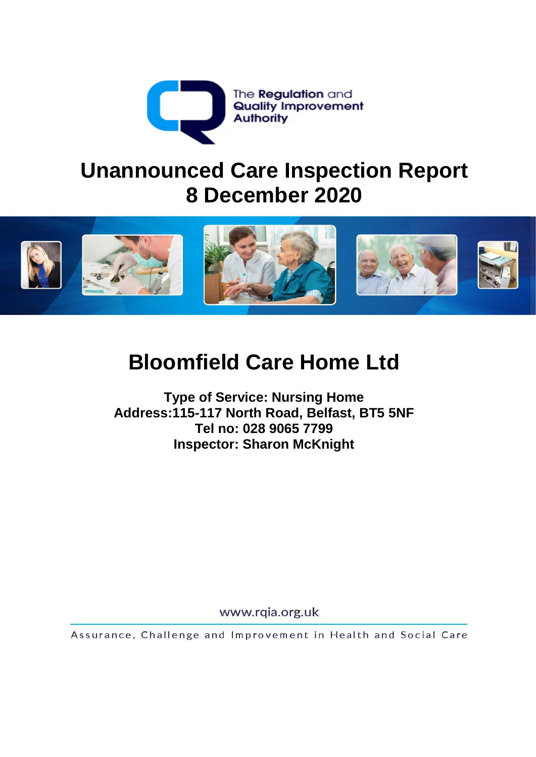

# **Unannounced Care Inspection Report 8 December 2020**



# **Bloomfield Care Home Ltd**

**Type of Service: Nursing Home Address:115-117 North Road, Belfast, BT5 5NF Tel no: 028 9065 7799 Inspector: Sharon McKnight** 

www.rqia.org.uk

Assurance, Challenge and Improvement in Health and Social Care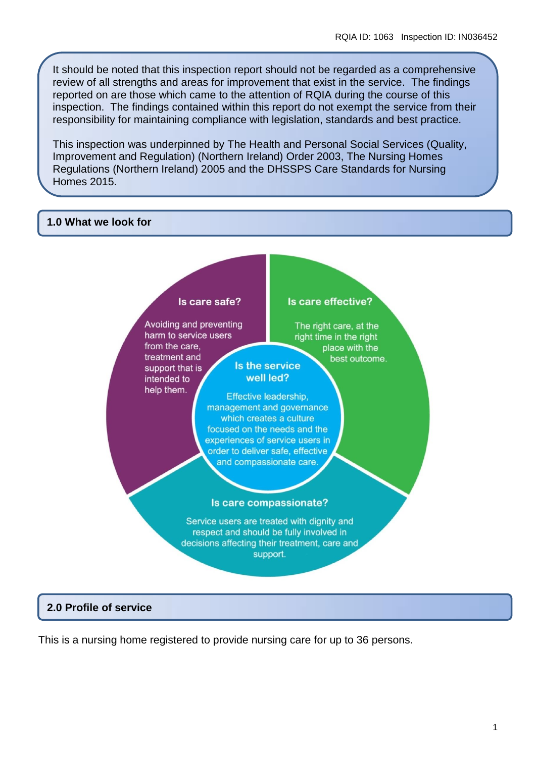It should be noted that this inspection report should not be regarded as a comprehensive review of all strengths and areas for improvement that exist in the service. The findings reported on are those which came to the attention of RQIA during the course of this inspection. The findings contained within this report do not exempt the service from their responsibility for maintaining compliance with legislation, standards and best practice.

This inspection was underpinned by The Health and Personal Social Services (Quality, Improvement and Regulation) (Northern Ireland) Order 2003, The Nursing Homes Regulations (Northern Ireland) 2005 and the DHSSPS Care Standards for Nursing Homes 2015.

#### **1.0 What we look for**



#### **2.0 Profile of service**

This is a nursing home registered to provide nursing care for up to 36 persons.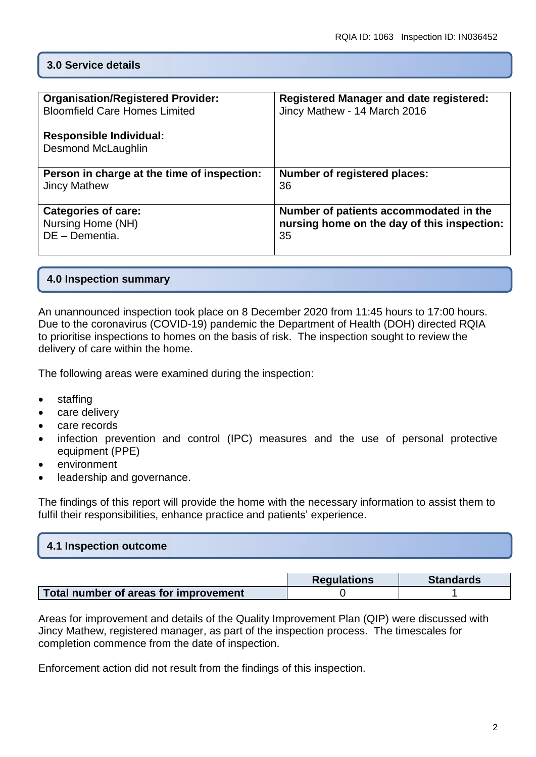#### **3.0 Service details**

| <b>Organisation/Registered Provider:</b><br><b>Bloomfield Care Homes Limited</b><br><b>Responsible Individual:</b><br><b>Desmond McLaughlin</b> | <b>Registered Manager and date registered:</b><br>Jincy Mathew - 14 March 2016 |
|-------------------------------------------------------------------------------------------------------------------------------------------------|--------------------------------------------------------------------------------|
| Person in charge at the time of inspection:                                                                                                     | <b>Number of registered places:</b>                                            |
| <b>Jincy Mathew</b>                                                                                                                             | 36                                                                             |
| <b>Categories of care:</b>                                                                                                                      | Number of patients accommodated in the                                         |
| Nursing Home (NH)                                                                                                                               | nursing home on the day of this inspection:                                    |
| DE - Dementia.                                                                                                                                  | 35                                                                             |

#### **4.0 Inspection summary**

An unannounced inspection took place on 8 December 2020 from 11:45 hours to 17:00 hours. Due to the coronavirus (COVID-19) pandemic the Department of Health (DOH) directed RQIA to prioritise inspections to homes on the basis of risk. The inspection sought to review the delivery of care within the home.

The following areas were examined during the inspection:

- staffing
- care delivery
- care records
- infection prevention and control (IPC) measures and the use of personal protective equipment (PPE)
- environment
- leadership and governance.

The findings of this report will provide the home with the necessary information to assist them to fulfil their responsibilities, enhance practice and patients' experience.

| 4.1 Inspection outcome |  |
|------------------------|--|
|                        |  |

|                                       | <b>Regulations</b> | <b>Standards</b> |
|---------------------------------------|--------------------|------------------|
| Total number of areas for improvement |                    |                  |

Areas for improvement and details of the Quality Improvement Plan (QIP) were discussed with Jincy Mathew, registered manager, as part of the inspection process. The timescales for completion commence from the date of inspection.

Enforcement action did not result from the findings of this inspection.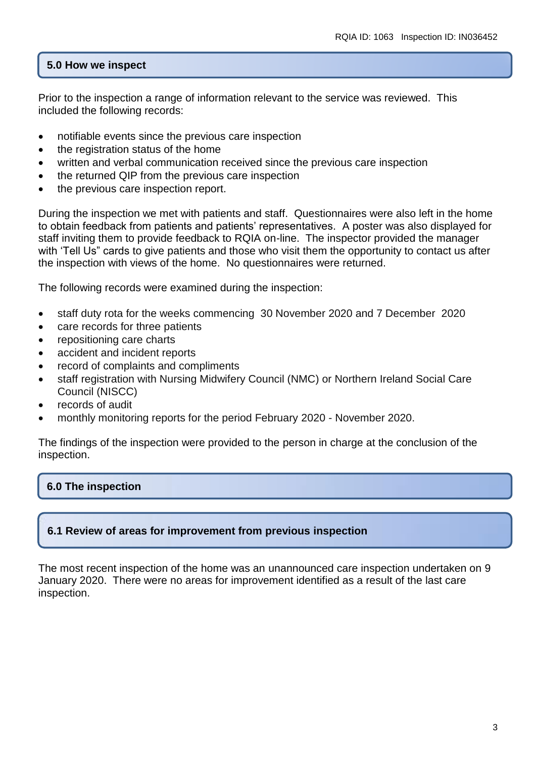# **5.0 How we inspect**

Prior to the inspection a range of information relevant to the service was reviewed. This included the following records:

- notifiable events since the previous care inspection
- $\bullet$  the registration status of the home
- written and verbal communication received since the previous care inspection
- the returned QIP from the previous care inspection
- the previous care inspection report.

During the inspection we met with patients and staff. Questionnaires were also left in the home to obtain feedback from patients and patients' representatives. A poster was also displayed for staff inviting them to provide feedback to RQIA on-line. The inspector provided the manager with 'Tell Us" cards to give patients and those who visit them the opportunity to contact us after the inspection with views of the home. No questionnaires were returned.

The following records were examined during the inspection:

- staff duty rota for the weeks commencing 30 November 2020 and 7 December 2020
- care records for three patients
- repositioning care charts
- accident and incident reports
- record of complaints and compliments
- staff registration with Nursing Midwifery Council (NMC) or Northern Ireland Social Care Council (NISCC)
- records of audit
- monthly monitoring reports for the period February 2020 November 2020.

The findings of the inspection were provided to the person in charge at the conclusion of the inspection.

# **6.0 The inspection**

# **6.1 Review of areas for improvement from previous inspection**

The most recent inspection of the home was an unannounced care inspection undertaken on 9 January 2020. There were no areas for improvement identified as a result of the last care inspection.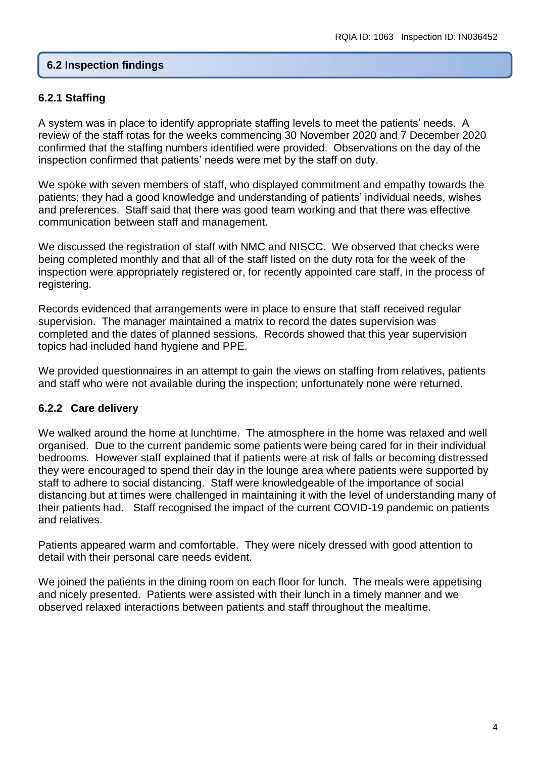#### **6.2 Inspection findings**

#### **6.2.1 Staffing**

A system was in place to identify appropriate staffing levels to meet the patients' needs. A review of the staff rotas for the weeks commencing 30 November 2020 and 7 December 2020 confirmed that the staffing numbers identified were provided. Observations on the day of the inspection confirmed that patients' needs were met by the staff on duty.

We spoke with seven members of staff, who displayed commitment and empathy towards the patients; they had a good knowledge and understanding of patients' individual needs, wishes and preferences. Staff said that there was good team working and that there was effective communication between staff and management.

We discussed the registration of staff with NMC and NISCC. We observed that checks were being completed monthly and that all of the staff listed on the duty rota for the week of the inspection were appropriately registered or, for recently appointed care staff, in the process of registering.

Records evidenced that arrangements were in place to ensure that staff received regular supervision. The manager maintained a matrix to record the dates supervision was completed and the dates of planned sessions. Records showed that this year supervision topics had included hand hygiene and PPE.

We provided questionnaires in an attempt to gain the views on staffing from relatives, patients and staff who were not available during the inspection; unfortunately none were returned.

#### **6.2.2 Care delivery**

We walked around the home at lunchtime. The atmosphere in the home was relaxed and well organised. Due to the current pandemic some patients were being cared for in their individual bedrooms. However staff explained that if patients were at risk of falls or becoming distressed they were encouraged to spend their day in the lounge area where patients were supported by staff to adhere to social distancing. Staff were knowledgeable of the importance of social distancing but at times were challenged in maintaining it with the level of understanding many of their patients had. Staff recognised the impact of the current COVID-19 pandemic on patients and relatives.

Patients appeared warm and comfortable. They were nicely dressed with good attention to detail with their personal care needs evident.

We joined the patients in the dining room on each floor for lunch. The meals were appetising and nicely presented. Patients were assisted with their lunch in a timely manner and we observed relaxed interactions between patients and staff throughout the mealtime.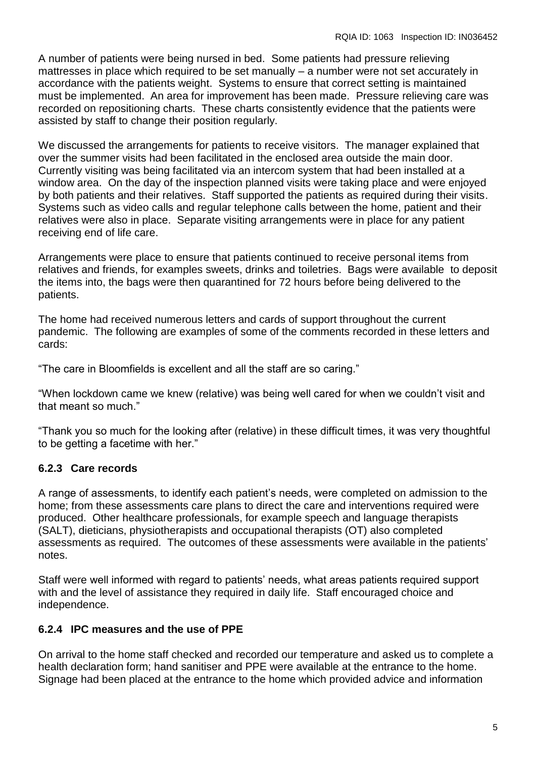A number of patients were being nursed in bed. Some patients had pressure relieving mattresses in place which required to be set manually – a number were not set accurately in accordance with the patients weight. Systems to ensure that correct setting is maintained must be implemented. An area for improvement has been made. Pressure relieving care was recorded on repositioning charts. These charts consistently evidence that the patients were assisted by staff to change their position regularly.

We discussed the arrangements for patients to receive visitors. The manager explained that over the summer visits had been facilitated in the enclosed area outside the main door. Currently visiting was being facilitated via an intercom system that had been installed at a window area. On the day of the inspection planned visits were taking place and were enjoyed by both patients and their relatives. Staff supported the patients as required during their visits. Systems such as video calls and regular telephone calls between the home, patient and their relatives were also in place. Separate visiting arrangements were in place for any patient receiving end of life care.

Arrangements were place to ensure that patients continued to receive personal items from relatives and friends, for examples sweets, drinks and toiletries. Bags were available to deposit the items into, the bags were then quarantined for 72 hours before being delivered to the patients.

The home had received numerous letters and cards of support throughout the current pandemic. The following are examples of some of the comments recorded in these letters and cards:

"The care in Bloomfields is excellent and all the staff are so caring."

"When lockdown came we knew (relative) was being well cared for when we couldn't visit and that meant so much."

"Thank you so much for the looking after (relative) in these difficult times, it was very thoughtful to be getting a facetime with her."

# **6.2.3 Care records**

A range of assessments, to identify each patient's needs, were completed on admission to the home; from these assessments care plans to direct the care and interventions required were produced. Other healthcare professionals, for example speech and language therapists (SALT), dieticians, physiotherapists and occupational therapists (OT) also completed assessments as required. The outcomes of these assessments were available in the patients' notes.

Staff were well informed with regard to patients' needs, what areas patients required support with and the level of assistance they required in daily life. Staff encouraged choice and independence.

# **6.2.4 IPC measures and the use of PPE**

On arrival to the home staff checked and recorded our temperature and asked us to complete a health declaration form; hand sanitiser and PPE were available at the entrance to the home. Signage had been placed at the entrance to the home which provided advice and information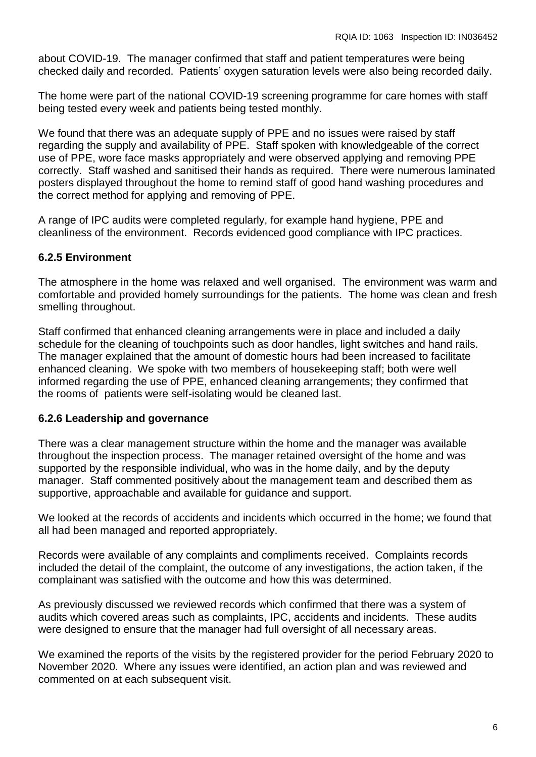about COVID-19. The manager confirmed that staff and patient temperatures were being checked daily and recorded. Patients' oxygen saturation levels were also being recorded daily.

The home were part of the national COVID-19 screening programme for care homes with staff being tested every week and patients being tested monthly.

We found that there was an adequate supply of PPE and no issues were raised by staff regarding the supply and availability of PPE. Staff spoken with knowledgeable of the correct use of PPE, wore face masks appropriately and were observed applying and removing PPE correctly. Staff washed and sanitised their hands as required. There were numerous laminated posters displayed throughout the home to remind staff of good hand washing procedures and the correct method for applying and removing of PPE.

A range of IPC audits were completed regularly, for example hand hygiene, PPE and cleanliness of the environment. Records evidenced good compliance with IPC practices.

# **6.2.5 Environment**

The atmosphere in the home was relaxed and well organised. The environment was warm and comfortable and provided homely surroundings for the patients. The home was clean and fresh smelling throughout.

Staff confirmed that enhanced cleaning arrangements were in place and included a daily schedule for the cleaning of touchpoints such as door handles, light switches and hand rails. The manager explained that the amount of domestic hours had been increased to facilitate enhanced cleaning. We spoke with two members of housekeeping staff; both were well informed regarding the use of PPE, enhanced cleaning arrangements; they confirmed that the rooms of patients were self-isolating would be cleaned last.

# **6.2.6 Leadership and governance**

There was a clear management structure within the home and the manager was available throughout the inspection process. The manager retained oversight of the home and was supported by the responsible individual, who was in the home daily, and by the deputy manager. Staff commented positively about the management team and described them as supportive, approachable and available for guidance and support.

We looked at the records of accidents and incidents which occurred in the home; we found that all had been managed and reported appropriately.

Records were available of any complaints and compliments received. Complaints records included the detail of the complaint, the outcome of any investigations, the action taken, if the complainant was satisfied with the outcome and how this was determined.

As previously discussed we reviewed records which confirmed that there was a system of audits which covered areas such as complaints, IPC, accidents and incidents. These audits were designed to ensure that the manager had full oversight of all necessary areas.

We examined the reports of the visits by the registered provider for the period February 2020 to November 2020. Where any issues were identified, an action plan and was reviewed and commented on at each subsequent visit.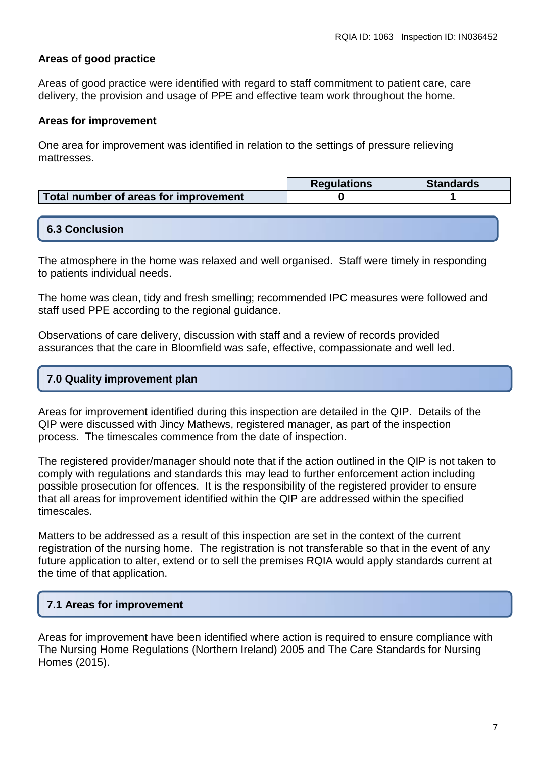# **Areas of good practice**

Areas of good practice were identified with regard to staff commitment to patient care, care delivery, the provision and usage of PPE and effective team work throughout the home.

#### **Areas for improvement**

One area for improvement was identified in relation to the settings of pressure relieving mattresses.

|                                       | <b>Requlations</b> | <b>Standards</b> |
|---------------------------------------|--------------------|------------------|
| Total number of areas for improvement |                    |                  |

#### **6.3 Conclusion**

The atmosphere in the home was relaxed and well organised. Staff were timely in responding to patients individual needs.

The home was clean, tidy and fresh smelling; recommended IPC measures were followed and staff used PPE according to the regional guidance.

Observations of care delivery, discussion with staff and a review of records provided assurances that the care in Bloomfield was safe, effective, compassionate and well led.

#### **7.0 Quality improvement plan**

Areas for improvement identified during this inspection are detailed in the QIP. Details of the QIP were discussed with Jincy Mathews, registered manager, as part of the inspection process. The timescales commence from the date of inspection.

The registered provider/manager should note that if the action outlined in the QIP is not taken to comply with regulations and standards this may lead to further enforcement action including possible prosecution for offences. It is the responsibility of the registered provider to ensure that all areas for improvement identified within the QIP are addressed within the specified timescales.

Matters to be addressed as a result of this inspection are set in the context of the current registration of the nursing home. The registration is not transferable so that in the event of any future application to alter, extend or to sell the premises RQIA would apply standards current at the time of that application.

# **7.1 Areas for improvement**

Areas for improvement have been identified where action is required to ensure compliance with The Nursing Home Regulations (Northern Ireland) 2005 and The Care Standards for Nursing Homes (2015).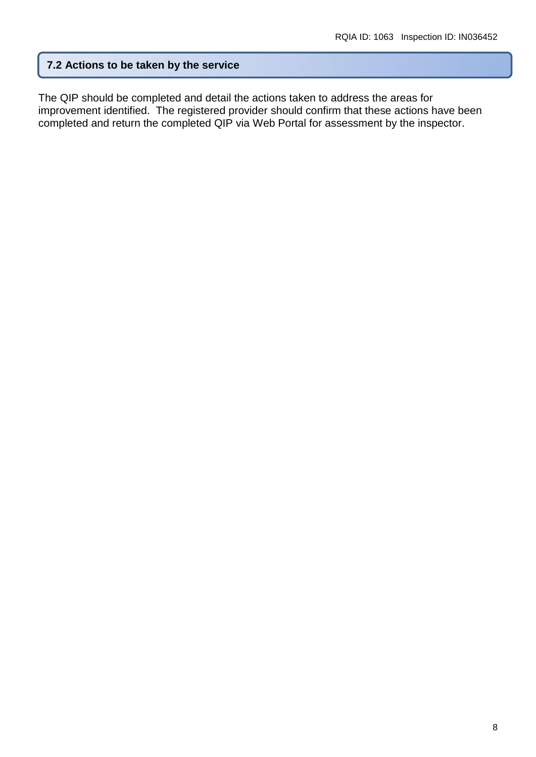# **7.2 Actions to be taken by the service**

The QIP should be completed and detail the actions taken to address the areas for improvement identified. The registered provider should confirm that these actions have been completed and return the completed QIP via Web Portal for assessment by the inspector.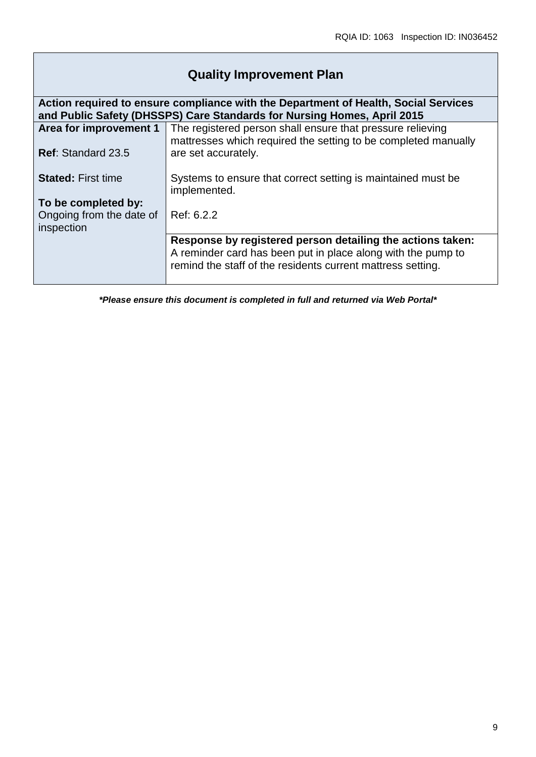# **Quality Improvement Plan**

| Action required to ensure compliance with the Department of Health, Social Services |                                                                                                                                                                                           |  |  |  |
|-------------------------------------------------------------------------------------|-------------------------------------------------------------------------------------------------------------------------------------------------------------------------------------------|--|--|--|
| and Public Safety (DHSSPS) Care Standards for Nursing Homes, April 2015             |                                                                                                                                                                                           |  |  |  |
| Area for improvement 1                                                              | The registered person shall ensure that pressure relieving<br>mattresses which required the setting to be completed manually                                                              |  |  |  |
| <b>Ref: Standard 23.5</b>                                                           | are set accurately.                                                                                                                                                                       |  |  |  |
| <b>Stated: First time</b>                                                           | Systems to ensure that correct setting is maintained must be<br>implemented.                                                                                                              |  |  |  |
| To be completed by:                                                                 |                                                                                                                                                                                           |  |  |  |
| Ongoing from the date of<br>inspection                                              | Ref: 6.2.2                                                                                                                                                                                |  |  |  |
|                                                                                     | Response by registered person detailing the actions taken:<br>A reminder card has been put in place along with the pump to<br>remind the staff of the residents current mattress setting. |  |  |  |

*\*Please ensure this document is completed in full and returned via Web Portal\**